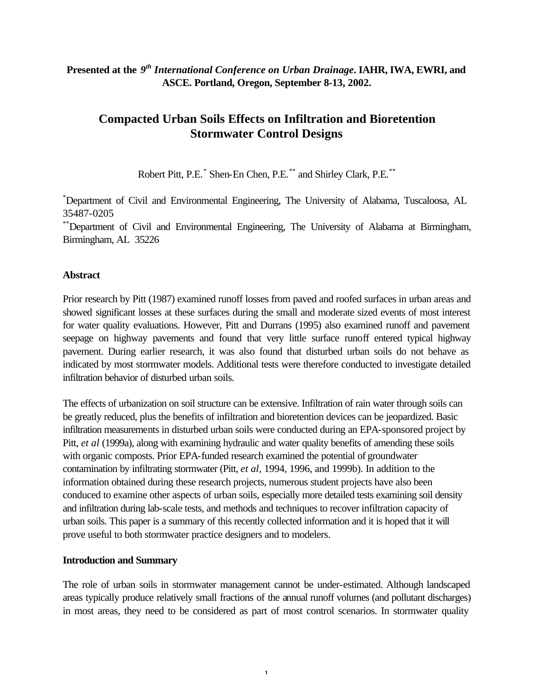## Presented at the 9<sup>th</sup> International Conference on Urban Drainage**.** IAHR, IWA, EWRI, and **ASCE. Portland, Oregon, September 8-13, 2002.**

## **Compacted Urban Soils Effects on Infiltration and Bioretention Stormwater Control Designs**

Robert Pitt, P.E.<sup>\*</sup> Shen-En Chen, P.E.<sup>\*\*</sup> and Shirley Clark, P.E.<sup>\*\*</sup>

\*Department of Civil and Environmental Engineering, The University of Alabama, Tuscaloosa, AL 35487-0205

\*\*Department of Civil and Environmental Engineering, The University of Alabama at Birmingham, Birmingham, AL 35226

## **Abstract**

Prior research by Pitt (1987) examined runoff losses from paved and roofed surfaces in urban areas and showed significant losses at these surfaces during the small and moderate sized events of most interest for water quality evaluations. However, Pitt and Durrans (1995) also examined runoff and pavement seepage on highway pavements and found that very little surface runoff entered typical highway pavement. During earlier research, it was also found that disturbed urban soils do not behave as indicated by most stormwater models. Additional tests were therefore conducted to investigate detailed infiltration behavior of disturbed urban soils.

The effects of urbanization on soil structure can be extensive. Infiltration of rain water through soils can be greatly reduced, plus the benefits of infiltration and bioretention devices can be jeopardized. Basic infiltration measurements in disturbed urban soils were conducted during an EPA-sponsored project by Pitt, *et al* (1999a), along with examining hydraulic and water quality benefits of amending these soils with organic composts. Prior EPA-funded research examined the potential of groundwater contamination by infiltrating stormwater (Pitt, *et al,* 1994, 1996, and 1999b). In addition to the information obtained during these research projects, numerous student projects have also been conduced to examine other aspects of urban soils, especially more detailed tests examining soil density and infiltration during lab-scale tests, and methods and techniques to recover infiltration capacity of urban soils. This paper is a summary of this recently collected information and it is hoped that it will prove useful to both stormwater practice designers and to modelers.

## **Introduction and Summary**

The role of urban soils in stormwater management cannot be under-estimated. Although landscaped areas typically produce relatively small fractions of the annual runoff volumes (and pollutant discharges) in most areas, they need to be considered as part of most control scenarios. In stormwater quality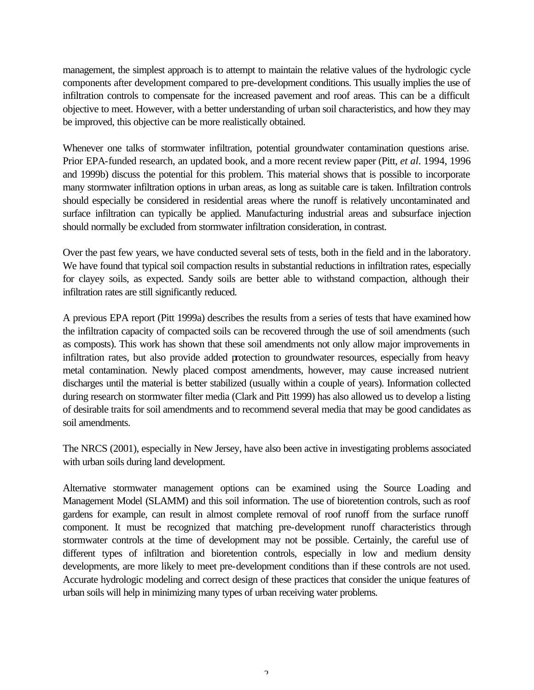management, the simplest approach is to attempt to maintain the relative values of the hydrologic cycle components after development compared to pre-development conditions. This usually implies the use of infiltration controls to compensate for the increased pavement and roof areas. This can be a difficult objective to meet. However, with a better understanding of urban soil characteristics, and how they may be improved, this objective can be more realistically obtained.

Whenever one talks of stormwater infiltration, potential groundwater contamination questions arise. Prior EPA-funded research, an updated book, and a more recent review paper (Pitt, *et al*. 1994, 1996 and 1999b) discuss the potential for this problem. This material shows that is possible to incorporate many stormwater infiltration options in urban areas, as long as suitable care is taken. Infiltration controls should especially be considered in residential areas where the runoff is relatively uncontaminated and surface infiltration can typically be applied. Manufacturing industrial areas and subsurface injection should normally be excluded from stormwater infiltration consideration, in contrast.

Over the past few years, we have conducted several sets of tests, both in the field and in the laboratory. We have found that typical soil compaction results in substantial reductions in infiltration rates, especially for clayey soils, as expected. Sandy soils are better able to withstand compaction, although their infiltration rates are still significantly reduced.

A previous EPA report (Pitt 1999a) describes the results from a series of tests that have examined how the infiltration capacity of compacted soils can be recovered through the use of soil amendments (such as composts). This work has shown that these soil amendments not only allow major improvements in infiltration rates, but also provide added protection to groundwater resources, especially from heavy metal contamination. Newly placed compost amendments, however, may cause increased nutrient discharges until the material is better stabilized (usually within a couple of years). Information collected during research on stormwater filter media (Clark and Pitt 1999) has also allowed us to develop a listing of desirable traits for soil amendments and to recommend several media that may be good candidates as soil amendments.

The NRCS (2001), especially in New Jersey, have also been active in investigating problems associated with urban soils during land development.

Alternative stormwater management options can be examined using the Source Loading and Management Model (SLAMM) and this soil information. The use of bioretention controls, such as roof gardens for example, can result in almost complete removal of roof runoff from the surface runoff component. It must be recognized that matching pre-development runoff characteristics through stormwater controls at the time of development may not be possible. Certainly, the careful use of different types of infiltration and bioretention controls, especially in low and medium density developments, are more likely to meet pre-development conditions than if these controls are not used. Accurate hydrologic modeling and correct design of these practices that consider the unique features of urban soils will help in minimizing many types of urban receiving water problems.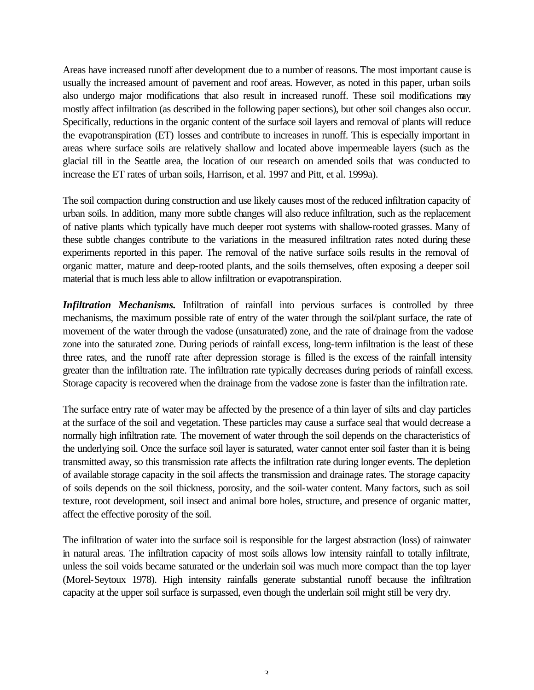Areas have increased runoff after development due to a number of reasons. The most important cause is usually the increased amount of pavement and roof areas. However, as noted in this paper, urban soils also undergo major modifications that also result in increased runoff. These soil modifications may mostly affect infiltration (as described in the following paper sections), but other soil changes also occur. Specifically, reductions in the organic content of the surface soil layers and removal of plants will reduce the evapotranspiration (ET) losses and contribute to increases in runoff. This is especially important in areas where surface soils are relatively shallow and located above impermeable layers (such as the glacial till in the Seattle area, the location of our research on amended soils that was conducted to increase the ET rates of urban soils, Harrison, et al. 1997 and Pitt, et al. 1999a).

The soil compaction during construction and use likely causes most of the reduced infiltration capacity of urban soils. In addition, many more subtle changes will also reduce infiltration, such as the replacement of native plants which typically have much deeper root systems with shallow-rooted grasses. Many of these subtle changes contribute to the variations in the measured infiltration rates noted during these experiments reported in this paper. The removal of the native surface soils results in the removal of organic matter, mature and deep-rooted plants, and the soils themselves, often exposing a deeper soil material that is much less able to allow infiltration or evapotranspiration.

*Infiltration Mechanisms.* Infiltration of rainfall into pervious surfaces is controlled by three mechanisms, the maximum possible rate of entry of the water through the soil/plant surface, the rate of movement of the water through the vadose (unsaturated) zone, and the rate of drainage from the vadose zone into the saturated zone. During periods of rainfall excess, long-term infiltration is the least of these three rates, and the runoff rate after depression storage is filled is the excess of the rainfall intensity greater than the infiltration rate. The infiltration rate typically decreases during periods of rainfall excess. Storage capacity is recovered when the drainage from the vadose zone is faster than the infiltration rate.

The surface entry rate of water may be affected by the presence of a thin layer of silts and clay particles at the surface of the soil and vegetation. These particles may cause a surface seal that would decrease a normally high infiltration rate. The movement of water through the soil depends on the characteristics of the underlying soil. Once the surface soil layer is saturated, water cannot enter soil faster than it is being transmitted away, so this transmission rate affects the infiltration rate during longer events. The depletion of available storage capacity in the soil affects the transmission and drainage rates. The storage capacity of soils depends on the soil thickness, porosity, and the soil-water content. Many factors, such as soil texture, root development, soil insect and animal bore holes, structure, and presence of organic matter, affect the effective porosity of the soil.

The infiltration of water into the surface soil is responsible for the largest abstraction (loss) of rainwater in natural areas. The infiltration capacity of most soils allows low intensity rainfall to totally infiltrate, unless the soil voids became saturated or the underlain soil was much more compact than the top layer (Morel-Seytoux 1978). High intensity rainfalls generate substantial runoff because the infiltration capacity at the upper soil surface is surpassed, even though the underlain soil might still be very dry.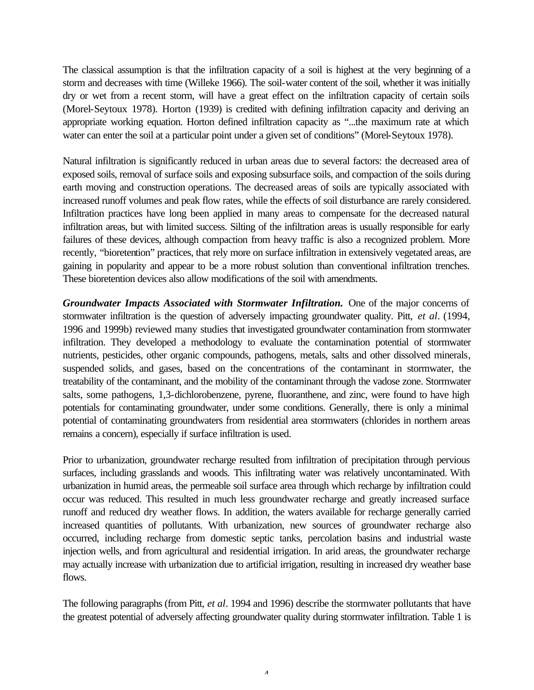The classical assumption is that the infiltration capacity of a soil is highest at the very beginning of a storm and decreases with time (Willeke 1966). The soil-water content of the soil, whether it was initially dry or wet from a recent storm, will have a great effect on the infiltration capacity of certain soils (Morel-Seytoux 1978). Horton (1939) is credited with defining infiltration capacity and deriving an appropriate working equation. Horton defined infiltration capacity as "...the maximum rate at which water can enter the soil at a particular point under a given set of conditions" (Morel-Seytoux 1978).

Natural infiltration is significantly reduced in urban areas due to several factors: the decreased area of exposed soils, removal of surface soils and exposing subsurface soils, and compaction of the soils during earth moving and construction operations. The decreased areas of soils are typically associated with increased runoff volumes and peak flow rates, while the effects of soil disturbance are rarely considered. Infiltration practices have long been applied in many areas to compensate for the decreased natural infiltration areas, but with limited success. Silting of the infiltration areas is usually responsible for early failures of these devices, although compaction from heavy traffic is also a recognized problem. More recently, "bioretention" practices, that rely more on surface infiltration in extensively vegetated areas, are gaining in popularity and appear to be a more robust solution than conventional infiltration trenches. These bioretention devices also allow modifications of the soil with amendments.

*Groundwater Impacts Associated with Stormwater Infiltration.* One of the major concerns of stormwater infiltration is the question of adversely impacting groundwater quality. Pitt, *et al*. (1994, 1996 and 1999b) reviewed many studies that investigated groundwater contamination from stormwater infiltration. They developed a methodology to evaluate the contamination potential of stormwater nutrients, pesticides, other organic compounds, pathogens, metals, salts and other dissolved minerals, suspended solids, and gases, based on the concentrations of the contaminant in stormwater, the treatability of the contaminant, and the mobility of the contaminant through the vadose zone. Stormwater salts, some pathogens, 1,3-dichlorobenzene, pyrene, fluoranthene, and zinc, were found to have high potentials for contaminating groundwater, under some conditions. Generally, there is only a minimal potential of contaminating groundwaters from residential area stormwaters (chlorides in northern areas remains a concern), especially if surface infiltration is used.

Prior to urbanization, groundwater recharge resulted from infiltration of precipitation through pervious surfaces, including grasslands and woods. This infiltrating water was relatively uncontaminated. With urbanization in humid areas, the permeable soil surface area through which recharge by infiltration could occur was reduced. This resulted in much less groundwater recharge and greatly increased surface runoff and reduced dry weather flows. In addition, the waters available for recharge generally carried increased quantities of pollutants. With urbanization, new sources of groundwater recharge also occurred, including recharge from domestic septic tanks, percolation basins and industrial waste injection wells, and from agricultural and residential irrigation. In arid areas, the groundwater recharge may actually increase with urbanization due to artificial irrigation, resulting in increased dry weather base flows.

The following paragraphs (from Pitt, *et al*. 1994 and 1996) describe the stormwater pollutants that have the greatest potential of adversely affecting groundwater quality during stormwater infiltration. Table 1 is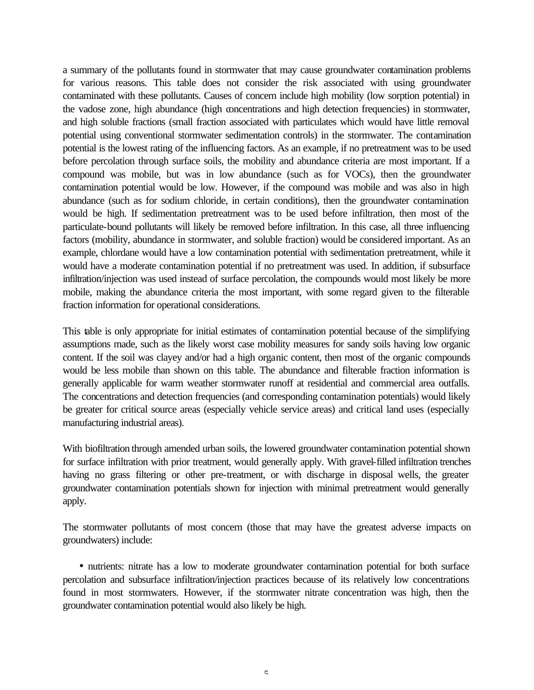a summary of the pollutants found in stormwater that may cause groundwater contamination problems for various reasons. This table does not consider the risk associated with using groundwater contaminated with these pollutants. Causes of concern include high mobility (low sorption potential) in the vadose zone, high abundance (high concentrations and high detection frequencies) in stormwater, and high soluble fractions (small fraction associated with particulates which would have little removal potential using conventional stormwater sedimentation controls) in the stormwater. The contamination potential is the lowest rating of the influencing factors. As an example, if no pretreatment was to be used before percolation through surface soils, the mobility and abundance criteria are most important. If a compound was mobile, but was in low abundance (such as for VOCs), then the groundwater contamination potential would be low. However, if the compound was mobile and was also in high abundance (such as for sodium chloride, in certain conditions), then the groundwater contamination would be high. If sedimentation pretreatment was to be used before infiltration, then most of the particulate-bound pollutants will likely be removed before infiltration. In this case, all three influencing factors (mobility, abundance in stormwater, and soluble fraction) would be considered important. As an example, chlordane would have a low contamination potential with sedimentation pretreatment, while it would have a moderate contamination potential if no pretreatment was used. In addition, if subsurface infiltration/injection was used instead of surface percolation, the compounds would most likely be more mobile, making the abundance criteria the most important, with some regard given to the filterable fraction information for operational considerations.

This table is only appropriate for initial estimates of contamination potential because of the simplifying assumptions made, such as the likely worst case mobility measures for sandy soils having low organic content. If the soil was clayey and/or had a high organic content, then most of the organic compounds would be less mobile than shown on this table. The abundance and filterable fraction information is generally applicable for warm weather stormwater runoff at residential and commercial area outfalls. The concentrations and detection frequencies (and corresponding contamination potentials) would likely be greater for critical source areas (especially vehicle service areas) and critical land uses (especially manufacturing industrial areas).

With biofiltration through amended urban soils, the lowered groundwater contamination potential shown for surface infiltration with prior treatment, would generally apply. With gravel-filled infiltration trenches having no grass filtering or other pre-treatment, or with discharge in disposal wells, the greater groundwater contamination potentials shown for injection with minimal pretreatment would generally apply.

The stormwater pollutants of most concern (those that may have the greatest adverse impacts on groundwaters) include:

• nutrients: nitrate has a low to moderate groundwater contamination potential for both surface percolation and subsurface infiltration/injection practices because of its relatively low concentrations found in most stormwaters. However, if the stormwater nitrate concentration was high, then the groundwater contamination potential would also likely be high.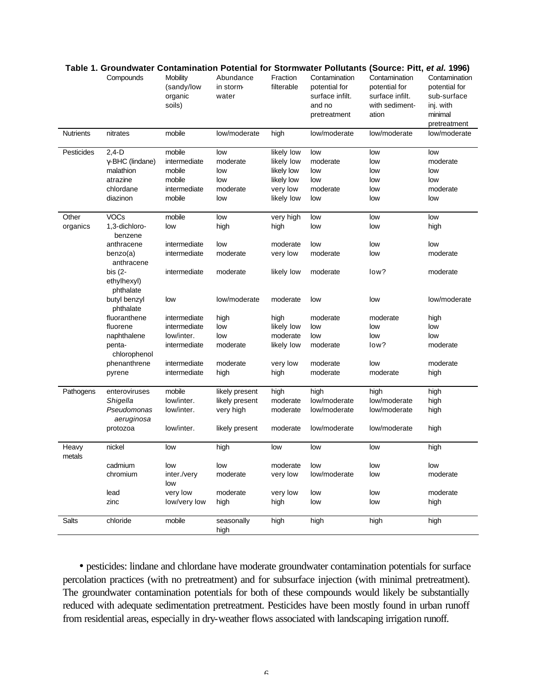|                 |                                        |                                                    |                                 |                        | Table 1. Groundwater Contamination Potential for Stormwater Pollutants (Source: Pitt, et al. 1996) |                                                                              |                                                                                       |
|-----------------|----------------------------------------|----------------------------------------------------|---------------------------------|------------------------|----------------------------------------------------------------------------------------------------|------------------------------------------------------------------------------|---------------------------------------------------------------------------------------|
|                 | Compounds                              | <b>Mobility</b><br>(sandy/low<br>organic<br>soils) | Abundance<br>in storm-<br>water | Fraction<br>filterable | Contamination<br>potential for<br>surface infilt.<br>and no<br>pretreatment                        | Contamination<br>potential for<br>surface infilt.<br>with sediment-<br>ation | Contamination<br>potential for<br>sub-surface<br>inj. with<br>minimal<br>pretreatment |
| Nutrients       | nitrates                               | mobile                                             | low/moderate                    | high                   | low/moderate                                                                                       | low/moderate                                                                 | low/moderate                                                                          |
| Pesticides      | $2,4-D$                                | mobile                                             | low                             | likely low             | low                                                                                                | low                                                                          | low                                                                                   |
|                 | $\gamma$ -BHC (lindane)                | intermediate                                       | moderate                        | likely low             | moderate                                                                                           | low                                                                          | moderate                                                                              |
|                 | malathion                              | mobile                                             | low                             | likely low             | low                                                                                                | low                                                                          | low                                                                                   |
|                 | atrazine                               | mobile                                             | low                             | likely low             | low                                                                                                | low                                                                          | low                                                                                   |
|                 | chlordane                              | intermediate                                       | moderate                        | very low               | moderate                                                                                           | low                                                                          | moderate                                                                              |
|                 | diazinon                               | mobile                                             | low                             | likely low             | low                                                                                                | low                                                                          | low                                                                                   |
| Other           | <b>VOCs</b>                            | mobile                                             | low                             | very high              | low                                                                                                | low                                                                          | low                                                                                   |
| organics        | 1,3-dichloro-<br>benzene               | low                                                | high                            | high                   | low                                                                                                | low                                                                          | high                                                                                  |
|                 | anthracene                             | intermediate                                       | low                             | moderate               | low                                                                                                | low                                                                          | low                                                                                   |
|                 | benzo(a)<br>anthracene                 | intermediate                                       | moderate                        | very low               | moderate                                                                                           | low                                                                          | moderate                                                                              |
|                 | bis $(2 -$<br>ethylhexyl)<br>phthalate | intermediate                                       | moderate                        | likely low             | moderate                                                                                           | low?                                                                         | moderate                                                                              |
|                 | butyl benzyl<br>phthalate              | low                                                | low/moderate                    | moderate               | low                                                                                                | low                                                                          | low/moderate                                                                          |
|                 | fluoranthene                           | intermediate                                       | high                            | high                   | moderate                                                                                           | moderate                                                                     | high                                                                                  |
|                 | fluorene                               | intermediate                                       | low                             | likely low             | low                                                                                                | low                                                                          | low                                                                                   |
|                 | naphthalene                            | low/inter.                                         | low                             | moderate               | low                                                                                                | low                                                                          | low                                                                                   |
|                 | penta-<br>chlorophenol                 | intermediate                                       | moderate                        | likely low             | moderate                                                                                           | low?                                                                         | moderate                                                                              |
|                 | phenanthrene                           | intermediate                                       | moderate                        | very low               | moderate                                                                                           | low                                                                          | moderate                                                                              |
|                 | pyrene                                 | intermediate                                       | high                            | high                   | moderate                                                                                           | moderate                                                                     | high                                                                                  |
| Pathogens       | enteroviruses                          | mobile                                             | likely present                  | high                   | high                                                                                               | high                                                                         | high                                                                                  |
|                 | Shigella                               | low/inter.                                         | likely present                  | moderate               | low/moderate                                                                                       | low/moderate                                                                 | high                                                                                  |
|                 | Pseudomonas<br>aeruginosa              | low/inter.                                         | very high                       | moderate               | low/moderate                                                                                       | low/moderate                                                                 | high                                                                                  |
|                 | protozoa                               | low/inter.                                         | likely present                  | moderate               | low/moderate                                                                                       | low/moderate                                                                 | high                                                                                  |
| Heavy<br>metals | nickel                                 | low                                                | high                            | low                    | low                                                                                                | low                                                                          | high                                                                                  |
|                 | cadmium                                | low                                                | low                             | moderate               | low                                                                                                | low                                                                          | low                                                                                   |
|                 | chromium                               | inter./very<br>low                                 | moderate                        | very low               | low/moderate                                                                                       | low                                                                          | moderate                                                                              |
|                 | lead                                   | very low                                           | moderate                        | very low               | low                                                                                                | low                                                                          | moderate                                                                              |
|                 | zinc                                   | low/very low                                       | high                            | high                   | low                                                                                                | low                                                                          | high                                                                                  |
| Salts           | chloride                               | mobile                                             | seasonally<br>high              | high                   | high                                                                                               | high                                                                         | high                                                                                  |

• pesticides: lindane and chlordane have moderate groundwater contamination potentials for surface percolation practices (with no pretreatment) and for subsurface injection (with minimal pretreatment). The groundwater contamination potentials for both of these compounds would likely be substantially reduced with adequate sedimentation pretreatment. Pesticides have been mostly found in urban runoff from residential areas, especially in dry-weather flows associated with landscaping irrigation runoff.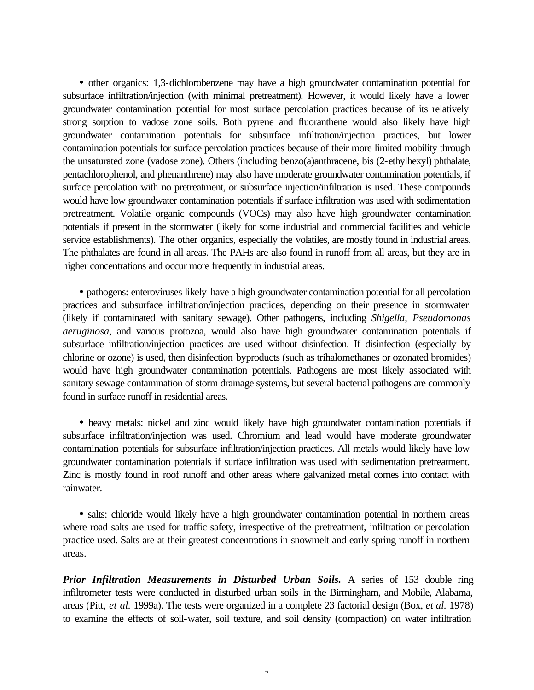• other organics: 1,3-dichlorobenzene may have a high groundwater contamination potential for subsurface infiltration/injection (with minimal pretreatment). However, it would likely have a lower groundwater contamination potential for most surface percolation practices because of its relatively strong sorption to vadose zone soils. Both pyrene and fluoranthene would also likely have high groundwater contamination potentials for subsurface infiltration/injection practices, but lower contamination potentials for surface percolation practices because of their more limited mobility through the unsaturated zone (vadose zone). Others (including benzo(a)anthracene, bis (2-ethylhexyl) phthalate, pentachlorophenol, and phenanthrene) may also have moderate groundwater contamination potentials, if surface percolation with no pretreatment, or subsurface injection/infiltration is used. These compounds would have low groundwater contamination potentials if surface infiltration was used with sedimentation pretreatment. Volatile organic compounds (VOCs) may also have high groundwater contamination potentials if present in the stormwater (likely for some industrial and commercial facilities and vehicle service establishments). The other organics, especially the volatiles, are mostly found in industrial areas. The phthalates are found in all areas. The PAHs are also found in runoff from all areas, but they are in higher concentrations and occur more frequently in industrial areas.

• pathogens: enteroviruses likely have a high groundwater contamination potential for all percolation practices and subsurface infiltration/injection practices, depending on their presence in stormwater (likely if contaminated with sanitary sewage). Other pathogens, including *Shigella*, *Pseudomonas aeruginosa*, and various protozoa, would also have high groundwater contamination potentials if subsurface infiltration/injection practices are used without disinfection. If disinfection (especially by chlorine or ozone) is used, then disinfection byproducts (such as trihalomethanes or ozonated bromides) would have high groundwater contamination potentials. Pathogens are most likely associated with sanitary sewage contamination of storm drainage systems, but several bacterial pathogens are commonly found in surface runoff in residential areas.

• heavy metals: nickel and zinc would likely have high groundwater contamination potentials if subsurface infiltration/injection was used. Chromium and lead would have moderate groundwater contamination potentials for subsurface infiltration/injection practices. All metals would likely have low groundwater contamination potentials if surface infiltration was used with sedimentation pretreatment. Zinc is mostly found in roof runoff and other areas where galvanized metal comes into contact with rainwater.

• salts: chloride would likely have a high groundwater contamination potential in northern areas where road salts are used for traffic safety, irrespective of the pretreatment, infiltration or percolation practice used. Salts are at their greatest concentrations in snowmelt and early spring runoff in northern areas.

*Prior Infiltration Measurements in Disturbed Urban Soils.* A series of 153 double ring infiltrometer tests were conducted in disturbed urban soils in the Birmingham, and Mobile, Alabama, areas (Pitt, *et al.* 1999a). The tests were organized in a complete 23 factorial design (Box, *et al.* 1978) to examine the effects of soil-water, soil texture, and soil density (compaction) on water infiltration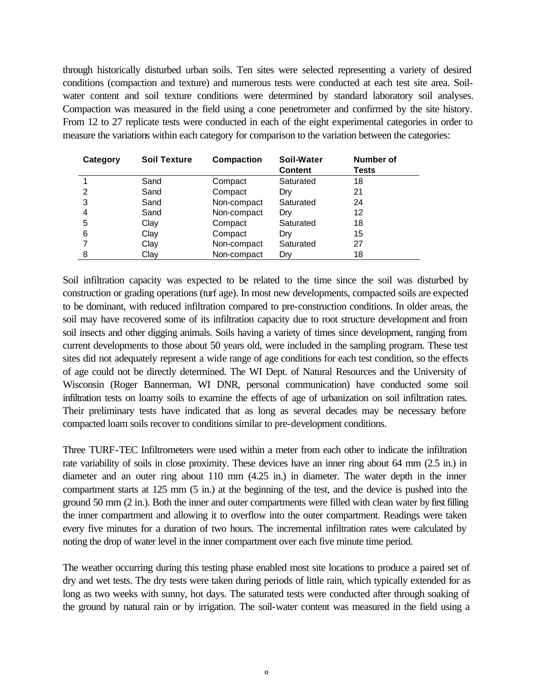through historically disturbed urban soils. Ten sites were selected representing a variety of desired conditions (compaction and texture) and numerous tests were conducted at each test site area. Soilwater content and soil texture conditions were determined by standard laboratory soil analyses. Compaction was measured in the field using a cone penetrometer and confirmed by the site history. From 12 to 27 replicate tests were conducted in each of the eight experimental categories in order to measure the variations within each category for comparison to the variation between the categories:

| Category | <b>Soil Texture</b> | <b>Compaction</b> | Soil-Water<br><b>Content</b> | <b>Number of</b><br>Tests |
|----------|---------------------|-------------------|------------------------------|---------------------------|
|          | Sand                | Compact           | Saturated                    | 18                        |
| 2        | Sand                | Compact           | Dry                          | 21                        |
| 3        | Sand                | Non-compact       | Saturated                    | 24                        |
| 4        | Sand                | Non-compact       | Drv                          | 12                        |
| 5        | Clay                | Compact           | Saturated                    | 18                        |
| 6        | Clay                | Compact           | Dry                          | 15                        |
|          | Clay                | Non-compact       | Saturated                    | 27                        |
|          | Clay                | Non-compact       | Drv                          | 18                        |

Soil infiltration capacity was expected to be related to the time since the soil was disturbed by construction or grading operations (turf age). In most new developments, compacted soils are expected to be dominant, with reduced infiltration compared to pre-construction conditions. In older areas, the soil may have recovered some of its infiltration capacity due to root structure development and from soil insects and other digging animals. Soils having a variety of times since development, ranging from current developments to those about 50 years old, were included in the sampling program. These test sites did not adequately represent a wide range of age conditions for each test condition, so the effects of age could not be directly determined. The WI Dept. of Natural Resources and the University of Wisconsin (Roger Bannerman, WI DNR, personal communication) have conducted some soil infiltration tests on loamy soils to examine the effects of age of urbanization on soil infiltration rates. Their preliminary tests have indicated that as long as several decades may be necessary before compacted loam soils recover to conditions similar to pre-development conditions.

Three TURF-TEC Infiltrometers were used within a meter from each other to indicate the infiltration rate variability of soils in close proximity. These devices have an inner ring about 64 mm (2.5 in.) in diameter and an outer ring about 110 mm (4.25 in.) in diameter. The water depth in the inner compartment starts at 125 mm (5 in.) at the beginning of the test, and the device is pushed into the ground 50 mm (2 in.). Both the inner and outer compartments were filled with clean water by first filling the inner compartment and allowing it to overflow into the outer compartment. Readings were taken every five minutes for a duration of two hours. The incremental infiltration rates were calculated by noting the drop of water level in the inner compartment over each five minute time period.

The weather occurring during this testing phase enabled most site locations to produce a paired set of dry and wet tests. The dry tests were taken during periods of little rain, which typically extended for as long as two weeks with sunny, hot days. The saturated tests were conducted after through soaking of the ground by natural rain or by irrigation. The soil-water content was measured in the field using a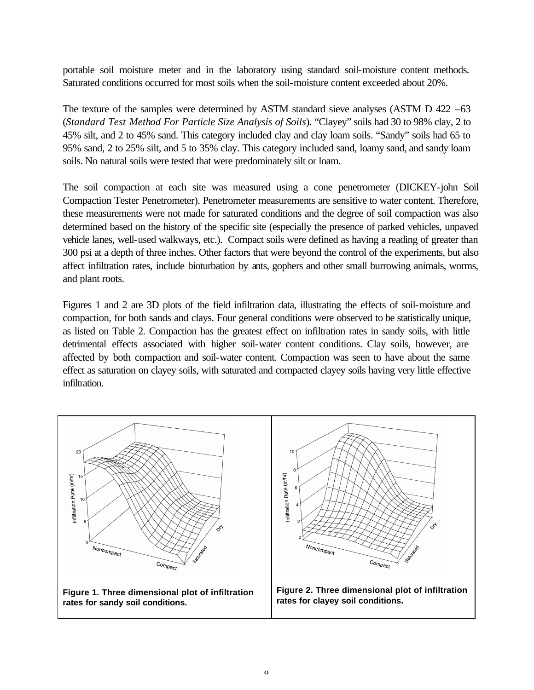portable soil moisture meter and in the laboratory using standard soil-moisture content methods. Saturated conditions occurred for most soils when the soil-moisture content exceeded about 20%.

The texture of the samples were determined by ASTM standard sieve analyses (ASTM D 422 –63 (*Standard Test Method For Particle Size Analysis of Soils*)*.* "Clayey" soils had 30 to 98% clay, 2 to 45% silt, and 2 to 45% sand. This category included clay and clay loam soils. "Sandy" soils had 65 to 95% sand, 2 to 25% silt, and 5 to 35% clay. This category included sand, loamy sand, and sandy loam soils. No natural soils were tested that were predominately silt or loam.

The soil compaction at each site was measured using a cone penetrometer (DICKEY-john Soil Compaction Tester Penetrometer). Penetrometer measurements are sensitive to water content. Therefore, these measurements were not made for saturated conditions and the degree of soil compaction was also determined based on the history of the specific site (especially the presence of parked vehicles, unpaved vehicle lanes, well-used walkways, etc.). Compact soils were defined as having a reading of greater than 300 psi at a depth of three inches. Other factors that were beyond the control of the experiments, but also affect infiltration rates, include bioturbation by ants, gophers and other small burrowing animals, worms, and plant roots.

Figures 1 and 2 are 3D plots of the field infiltration data, illustrating the effects of soil-moisture and compaction, for both sands and clays. Four general conditions were observed to be statistically unique, as listed on Table 2. Compaction has the greatest effect on infiltration rates in sandy soils, with little detrimental effects associated with higher soil-water content conditions. Clay soils, however, are affected by both compaction and soil-water content. Compaction was seen to have about the same effect as saturation on clayey soils, with saturated and compacted clayey soils having very little effective infiltration.

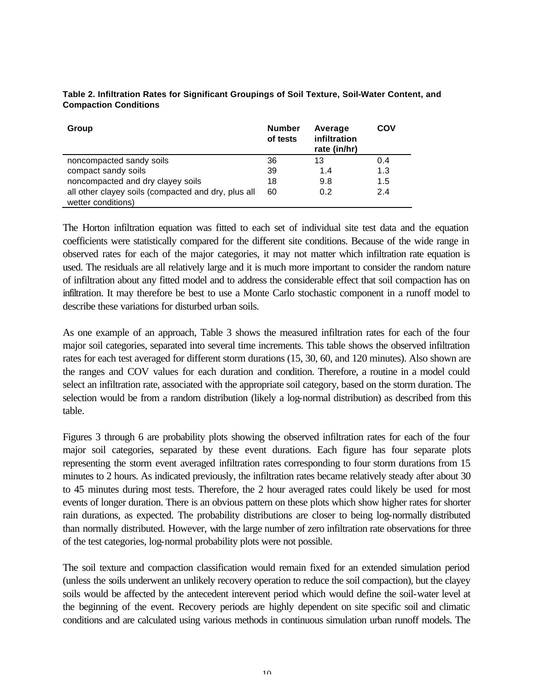| Group                                               | <b>Number</b><br>of tests | Average<br>infiltration<br>rate (in/hr) | COV |
|-----------------------------------------------------|---------------------------|-----------------------------------------|-----|
| noncompacted sandy soils                            | 36                        | 13                                      | 0.4 |
| compact sandy soils                                 | 39                        | 1.4                                     | 1.3 |
| noncompacted and dry clayey soils                   | 18                        | 9.8                                     | 1.5 |
| all other clayey soils (compacted and dry, plus all | 60                        | 0.2                                     | 24  |
| wetter conditions)                                  |                           |                                         |     |

**Table 2. Infiltration Rates for Significant Groupings of Soil Texture, Soil-Water Content, and Compaction Conditions**

The Horton infiltration equation was fitted to each set of individual site test data and the equation coefficients were statistically compared for the different site conditions. Because of the wide range in observed rates for each of the major categories, it may not matter which infiltration rate equation is used. The residuals are all relatively large and it is much more important to consider the random nature of infiltration about any fitted model and to address the considerable effect that soil compaction has on infiltration. It may therefore be best to use a Monte Carlo stochastic component in a runoff model to describe these variations for disturbed urban soils.

As one example of an approach, Table 3 shows the measured infiltration rates for each of the four major soil categories, separated into several time increments. This table shows the observed infiltration rates for each test averaged for different storm durations (15, 30, 60, and 120 minutes). Also shown are the ranges and COV values for each duration and condition. Therefore, a routine in a model could select an infiltration rate, associated with the appropriate soil category, based on the storm duration. The selection would be from a random distribution (likely a log-normal distribution) as described from this table.

Figures 3 through 6 are probability plots showing the observed infiltration rates for each of the four major soil categories, separated by these event durations. Each figure has four separate plots representing the storm event averaged infiltration rates corresponding to four storm durations from 15 minutes to 2 hours. As indicated previously, the infiltration rates became relatively steady after about 30 to 45 minutes during most tests. Therefore, the 2 hour averaged rates could likely be used for most events of longer duration. There is an obvious pattern on these plots which show higher rates for shorter rain durations, as expected. The probability distributions are closer to being log-normally distributed than normally distributed. However, with the large number of zero infiltration rate observations for three of the test categories, log-normal probability plots were not possible.

The soil texture and compaction classification would remain fixed for an extended simulation period (unless the soils underwent an unlikely recovery operation to reduce the soil compaction), but the clayey soils would be affected by the antecedent interevent period which would define the soil-water level at the beginning of the event. Recovery periods are highly dependent on site specific soil and climatic conditions and are calculated using various methods in continuous simulation urban runoff models. The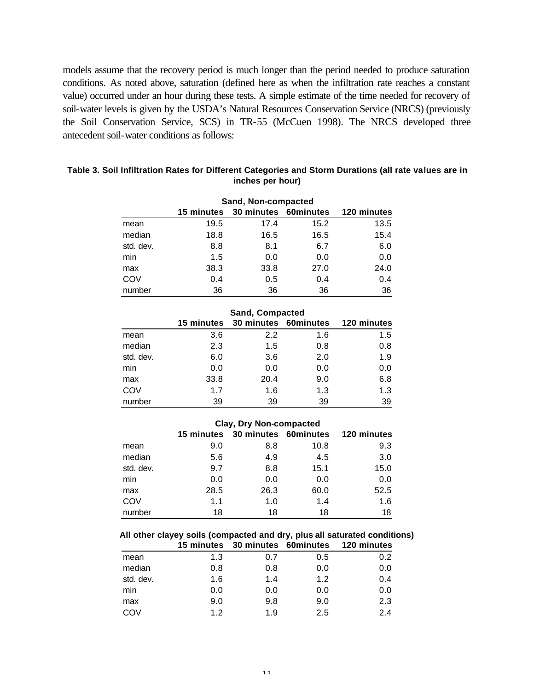models assume that the recovery period is much longer than the period needed to produce saturation conditions. As noted above, saturation (defined here as when the infiltration rate reaches a constant value) occurred under an hour during these tests. A simple estimate of the time needed for recovery of soil-water levels is given by the USDA's Natural Resources Conservation Service (NRCS) (previously the Soil Conservation Service, SCS) in TR-55 (McCuen 1998). The NRCS developed three antecedent soil-water conditions as follows:

|           | Sand, Non-compacted |                                  |      |             |  |  |  |
|-----------|---------------------|----------------------------------|------|-------------|--|--|--|
|           |                     | 15 minutes 30 minutes 60 minutes |      | 120 minutes |  |  |  |
| mean      | 19.5                | 17.4                             | 15.2 | 13.5        |  |  |  |
| median    | 18.8                | 16.5                             | 16.5 | 15.4        |  |  |  |
| std. dev. | 8.8                 | 8.1                              | 6.7  | 6.0         |  |  |  |
| min       | 1.5                 | 0.0                              | 0.0  | 0.0         |  |  |  |
| max       | 38.3                | 33.8                             | 27.0 | 24.0        |  |  |  |
| COV       | 0.4                 | 0.5                              | 0.4  | 0.4         |  |  |  |
| number    | 36                  | 36                               | 36   | 36          |  |  |  |

#### **Table 3. Soil Infiltration Rates for Different Categories and Storm Durations (all rate values are in inches per hour)**

|           | <b>Sand, Compacted</b> |                                  |     |             |  |  |  |  |
|-----------|------------------------|----------------------------------|-----|-------------|--|--|--|--|
|           |                        | 15 minutes 30 minutes 60 minutes |     | 120 minutes |  |  |  |  |
| mean      | 3.6                    | 2.2                              | 1.6 | 1.5         |  |  |  |  |
| median    | 2.3                    | 1.5                              | 0.8 | 0.8         |  |  |  |  |
| std. dev. | 6.0                    | 3.6                              | 2.0 | 1.9         |  |  |  |  |
| min       | 0.0                    | 0.0                              | 0.0 | 0.0         |  |  |  |  |
| max       | 33.8                   | 20.4                             | 9.0 | 6.8         |  |  |  |  |
| COV       | 1.7                    | 1.6                              | 1.3 | 1.3         |  |  |  |  |
| number    | 39                     | 39                               | 39  | 39          |  |  |  |  |

#### **Clay, Dry Non-compacted 15 minutes 30 minutes 60minutes 120 minutes** mean 9.0 8.8 10.8 9.3 median 5.6 4.9 4.5 3.0 std. dev. 9.7 8.8 15.1 15.0 min 0.0 0.0 0.0 0.0 max 28.5 26.3 60.0 52.5 COV 1.1 1.0 1.4 1.6 number 18 18 18 18

#### **All other clayey soils (compacted and dry, plus all saturated conditions) 15 minutes 30 minutes 60minutes 120 minutes**

|           |     | <b>JU IIIIIULGS UUIIIIIULGS</b> |     | 140 MHL |
|-----------|-----|---------------------------------|-----|---------|
| mean      | 1.3 | 0.7                             | 0.5 | 0.2     |
| median    | 0.8 | 0.8                             | 0.0 | 0.0     |
| std. dev. | 1.6 | 1.4                             | 1.2 | 0.4     |
| min       | 0.0 | 0.0                             | 0.0 | 0.0     |
| max       | 9.0 | 9.8                             | 9.0 | 2.3     |
| COV       | 1.2 | 1.9                             | 2.5 | 2.4     |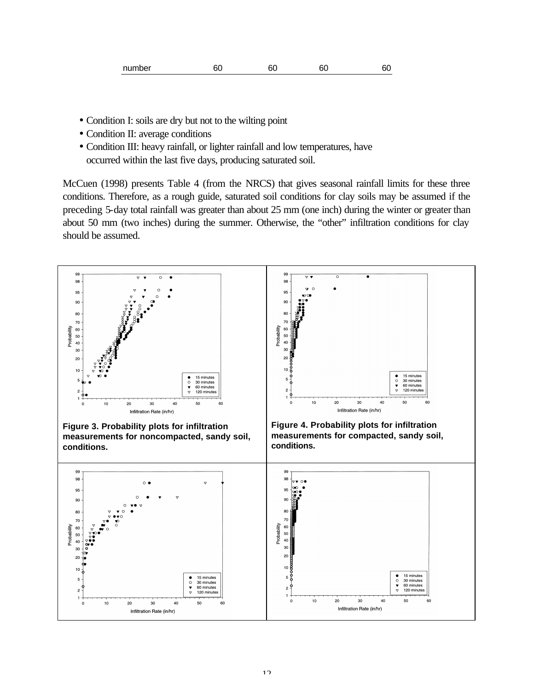| number<br>60<br>бU<br>51<br>' | $\overline{\phantom{a}}$<br>UU |
|-------------------------------|--------------------------------|
|-------------------------------|--------------------------------|

- Condition I: soils are dry but not to the wilting point
- Condition II: average conditions
- Condition III: heavy rainfall, or lighter rainfall and low temperatures, have occurred within the last five days, producing saturated soil.

McCuen (1998) presents Table 4 (from the NRCS) that gives seasonal rainfall limits for these three conditions. Therefore, as a rough guide, saturated soil conditions for clay soils may be assumed if the preceding 5-day total rainfall was greater than about 25 mm (one inch) during the winter or greater than about 50 mm (two inches) during the summer. Otherwise, the "other" infiltration conditions for clay should be assumed.

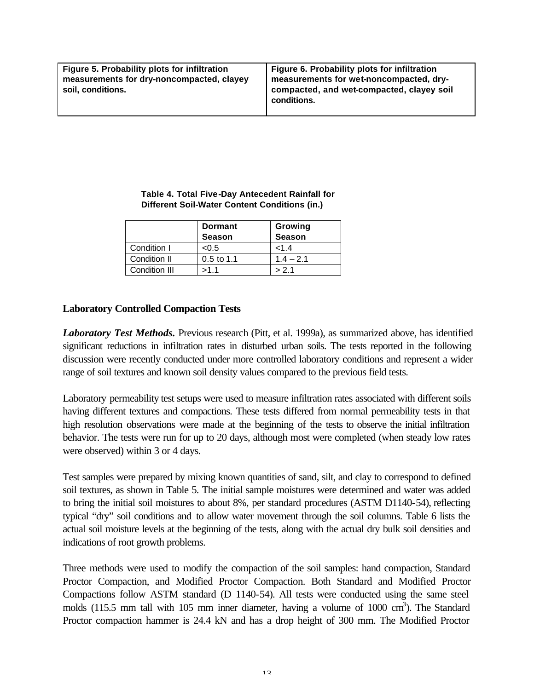| Figure 5. Probability plots for infiltration<br>measurements for dry-noncompacted, clayey<br>soil, conditions. | Figure 6. Probability plots for infiltration<br>measurements for wet-noncompacted, dry-<br>compacted, and wet-compacted, clayey soil<br>conditions. |
|----------------------------------------------------------------------------------------------------------------|-----------------------------------------------------------------------------------------------------------------------------------------------------|
|                                                                                                                |                                                                                                                                                     |

|               | <b>Dormant</b><br><b>Season</b> | Growing<br><b>Season</b> |
|---------------|---------------------------------|--------------------------|
| Condition I   | < 0.5                           | <1.4                     |
| Condition II  | $0.5$ to 1.1                    | $1.4 - 2.1$              |
| Condition III | >1.1                            | >21                      |

#### **Table 4. Total Five-Day Antecedent Rainfall for Different Soil-Water Content Conditions (in.)**

## **Laboratory Controlled Compaction Tests**

*Laboratory Test Methods.* Previous research (Pitt, et al. 1999a), as summarized above, has identified significant reductions in infiltration rates in disturbed urban soils. The tests reported in the following discussion were recently conducted under more controlled laboratory conditions and represent a wider range of soil textures and known soil density values compared to the previous field tests.

Laboratory permeability test setups were used to measure infiltration rates associated with different soils having different textures and compactions. These tests differed from normal permeability tests in that high resolution observations were made at the beginning of the tests to observe the initial infiltration behavior. The tests were run for up to 20 days, although most were completed (when steady low rates were observed) within 3 or 4 days.

Test samples were prepared by mixing known quantities of sand, silt, and clay to correspond to defined soil textures, as shown in Table 5. The initial sample moistures were determined and water was added to bring the initial soil moistures to about 8%, per standard procedures (ASTM D1140-54), reflecting typical "dry" soil conditions and to allow water movement through the soil columns. Table 6 lists the actual soil moisture levels at the beginning of the tests, along with the actual dry bulk soil densities and indications of root growth problems.

Three methods were used to modify the compaction of the soil samples: hand compaction, Standard Proctor Compaction, and Modified Proctor Compaction. Both Standard and Modified Proctor Compactions follow ASTM standard (D 1140-54). All tests were conducted using the same steel molds  $(115.5 \text{ mm tall with } 105 \text{ mm inner diameter, having a volume of } 1000 \text{ cm}^3)$ . The Standard Proctor compaction hammer is 24.4 kN and has a drop height of 300 mm. The Modified Proctor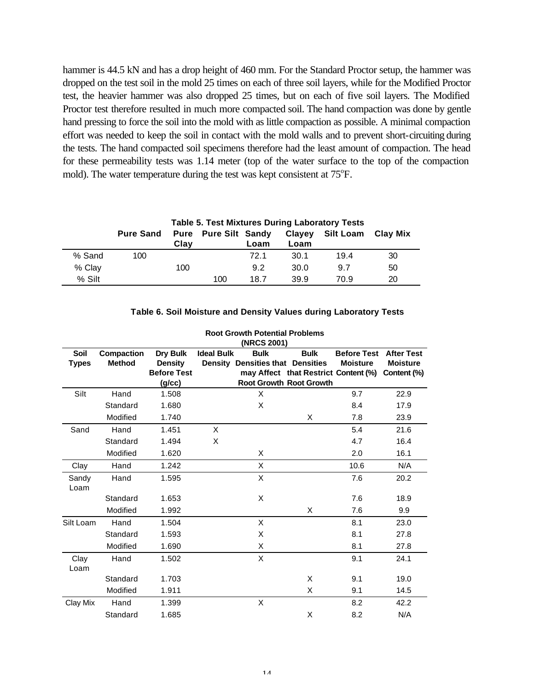hammer is 44.5 kN and has a drop height of 460 mm. For the Standard Proctor setup, the hammer was dropped on the test soil in the mold 25 times on each of three soil layers, while for the Modified Proctor test, the heavier hammer was also dropped 25 times, but on each of five soil layers. The Modified Proctor test therefore resulted in much more compacted soil. The hand compaction was done by gentle hand pressing to force the soil into the mold with as little compaction as possible. A minimal compaction effort was needed to keep the soil in contact with the mold walls and to prevent short-circuiting during the tests. The hand compacted soil specimens therefore had the least amount of compaction. The head for these permeability tests was 1.14 meter (top of the water surface to the top of the compaction mold). The water temperature during the test was kept consistent at 75°F.

|        | <b>Table 5. Test Mixtures During Laboratory Tests</b> |      |                             |      |                       |           |          |
|--------|-------------------------------------------------------|------|-----------------------------|------|-----------------------|-----------|----------|
|        | <b>Pure Sand</b>                                      | Clay | <b>Pure Pure Silt Sandy</b> | Loam | <b>Clavey</b><br>Loam | Silt Loam | Clay Mix |
| % Sand | 100                                                   |      |                             | 72.1 | 30.1                  | 19.4      | 30       |
| % Clay |                                                       | 100  |                             | 9.2  | 30.0                  | 9.7       | 50       |
| % Silt |                                                       |      | 100                         | 18.7 | 39.9                  | 70.9      | 20       |

#### **Table 6. Soil Moisture and Density Values during Laboratory Tests**

|                      |                             |                                                            |                   | (NRCS 2001)                                                                       |                                                     |                                                  |                                |
|----------------------|-----------------------------|------------------------------------------------------------|-------------------|-----------------------------------------------------------------------------------|-----------------------------------------------------|--------------------------------------------------|--------------------------------|
| Soil<br><b>Types</b> | Compaction<br><b>Method</b> | Dry Bulk<br><b>Density</b><br><b>Before Test</b><br>(g/cc) | <b>Ideal Bulk</b> | <b>Bulk</b><br><b>Density Densities that Densities</b><br>Root Growth Root Growth | <b>Bulk</b><br>may Affect that Restrict Content (%) | <b>Before Test After Test</b><br><b>Moisture</b> | <b>Moisture</b><br>Content (%) |
| Silt                 | Hand                        | 1.508                                                      |                   | X                                                                                 |                                                     | 9.7                                              | 22.9                           |
|                      | Standard                    | 1.680                                                      |                   | X                                                                                 |                                                     | 8.4                                              | 17.9                           |
|                      | Modified                    | 1.740                                                      |                   |                                                                                   | X                                                   | 7.8                                              | 23.9                           |
| Sand                 | Hand                        | 1.451                                                      | X                 |                                                                                   |                                                     | 5.4                                              | 21.6                           |
|                      | Standard                    | 1.494                                                      | X                 |                                                                                   |                                                     | 4.7                                              | 16.4                           |
|                      | Modified                    | 1.620                                                      |                   | X                                                                                 |                                                     | 2.0                                              | 16.1                           |
| Clay                 | Hand                        | 1.242                                                      |                   | X                                                                                 |                                                     | 10.6                                             | N/A                            |
| Sandy<br>Loam        | Hand                        | 1.595                                                      |                   | X                                                                                 |                                                     | 7.6                                              | 20.2                           |
|                      | Standard                    | 1.653                                                      |                   | X                                                                                 |                                                     | 7.6                                              | 18.9                           |
|                      | Modified                    | 1.992                                                      |                   |                                                                                   | X                                                   | 7.6                                              | 9.9                            |
| Silt Loam            | Hand                        | 1.504                                                      |                   | X                                                                                 |                                                     | 8.1                                              | 23.0                           |
|                      | Standard                    | 1.593                                                      |                   | X                                                                                 |                                                     | 8.1                                              | 27.8                           |
|                      | Modified                    | 1.690                                                      |                   | X                                                                                 |                                                     | 8.1                                              | 27.8                           |
| Clay<br>Loam         | Hand                        | 1.502                                                      |                   | X                                                                                 |                                                     | 9.1                                              | 24.1                           |
|                      | Standard                    | 1.703                                                      |                   |                                                                                   | X                                                   | 9.1                                              | 19.0                           |
|                      | Modified                    | 1.911                                                      |                   |                                                                                   | X                                                   | 9.1                                              | 14.5                           |
| Clay Mix             | Hand                        | 1.399                                                      |                   | X                                                                                 |                                                     | 8.2                                              | 42.2                           |
|                      | Standard                    | 1.685                                                      |                   |                                                                                   | X                                                   | 8.2                                              | N/A                            |

# **Root Growth Potential Problems**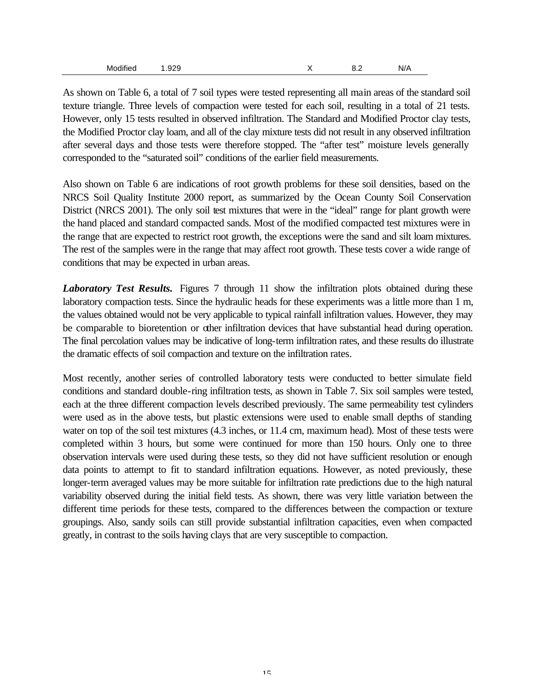| Modified | .929 |  |  | ے.د | N/A |
|----------|------|--|--|-----|-----|
|----------|------|--|--|-----|-----|

As shown on Table 6, a total of 7 soil types were tested representing all main areas of the standard soil texture triangle. Three levels of compaction were tested for each soil, resulting in a total of 21 tests. However, only 15 tests resulted in observed infiltration. The Standard and Modified Proctor clay tests, the Modified Proctor clay loam, and all of the clay mixture tests did not result in any observed infiltration after several days and those tests were therefore stopped. The "after test" moisture levels generally corresponded to the "saturated soil" conditions of the earlier field measurements.

Also shown on Table 6 are indications of root growth problems for these soil densities, based on the NRCS Soil Quality Institute 2000 report, as summarized by the Ocean County Soil Conservation District (NRCS 2001). The only soil test mixtures that were in the "ideal" range for plant growth were the hand placed and standard compacted sands. Most of the modified compacted test mixtures were in the range that are expected to restrict root growth, the exceptions were the sand and silt loam mixtures. The rest of the samples were in the range that may affect root growth. These tests cover a wide range of conditions that may be expected in urban areas.

Laboratory Test Results. Figures 7 through 11 show the infiltration plots obtained during these laboratory compaction tests. Since the hydraulic heads for these experiments was a little more than 1 m, the values obtained would not be very applicable to typical rainfall infiltration values. However, they may be comparable to bioretention or other infiltration devices that have substantial head during operation. The final percolation values may be indicative of long-term infiltration rates, and these results do illustrate the dramatic effects of soil compaction and texture on the infiltration rates.

Most recently, another series of controlled laboratory tests were conducted to better simulate field conditions and standard double-ring infiltration tests, as shown in Table 7. Six soil samples were tested, each at the three different compaction levels described previously. The same permeability test cylinders were used as in the above tests, but plastic extensions were used to enable small depths of standing water on top of the soil test mixtures (4.3 inches, or 11.4 cm, maximum head). Most of these tests were completed within 3 hours, but some were continued for more than 150 hours. Only one to three observation intervals were used during these tests, so they did not have sufficient resolution or enough data points to attempt to fit to standard infiltration equations. However, as noted previously, these longer-term averaged values may be more suitable for infiltration rate predictions due to the high natural variability observed during the initial field tests. As shown, there was very little variation between the different time periods for these tests, compared to the differences between the compaction or texture groupings. Also, sandy soils can still provide substantial infiltration capacities, even when compacted greatly, in contrast to the soils having clays that are very susceptible to compaction.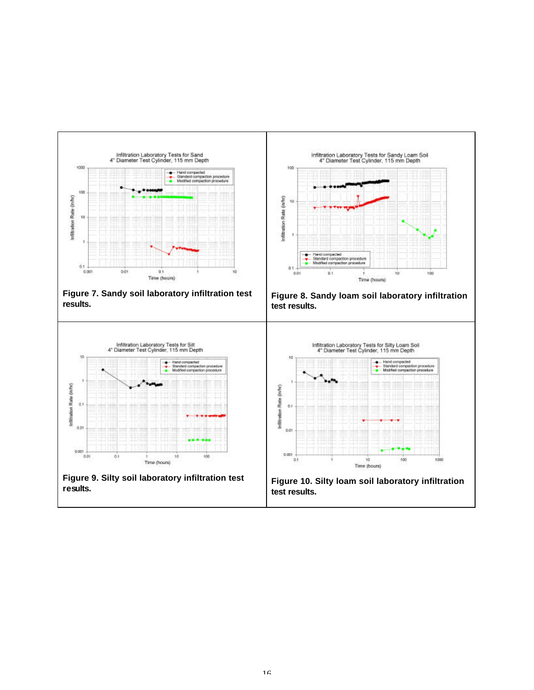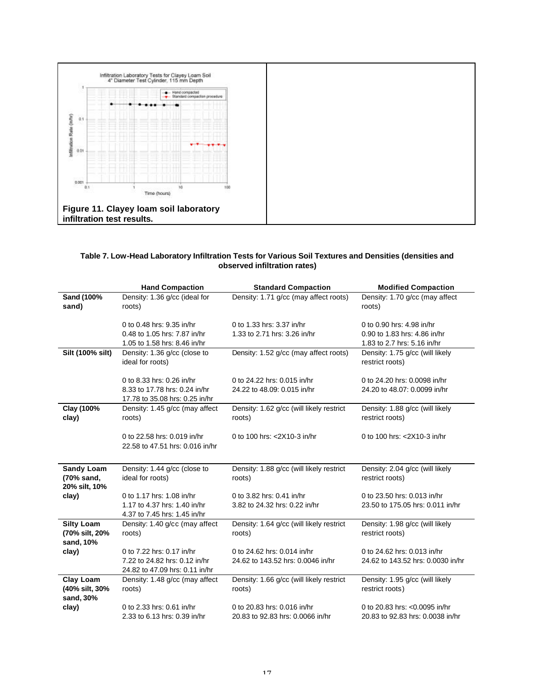

#### **Table 7. Low-Head Laboratory Infiltration Tests for Various Soil Textures and Densities (densities and observed infiltration rates)**

|                     | <b>Hand Compaction</b>                                          | <b>Standard Compaction</b>               | <b>Modified Compaction</b>               |
|---------------------|-----------------------------------------------------------------|------------------------------------------|------------------------------------------|
| Sand (100%<br>sand) | Density: 1.36 g/cc (ideal for<br>roots)                         | Density: 1.71 g/cc (may affect roots)    | Density: 1.70 g/cc (may affect<br>roots) |
|                     |                                                                 |                                          |                                          |
|                     | 0 to 0.48 hrs: 9.35 in/hr                                       | 0 to 1.33 hrs: 3.37 in/hr                | 0 to 0.90 hrs: 4.98 in/hr                |
|                     | 0.48 to 1.05 hrs: 7.87 in/hr                                    | 1.33 to 2.71 hrs: 3.26 in/hr             | 0.90 to 1.83 hrs: 4.86 in/hr             |
|                     | 1.05 to 1.58 hrs: 8.46 in/hr                                    |                                          | 1.83 to 2.7 hrs: 5.16 in/hr              |
| Silt (100% silt)    | Density: 1.36 g/cc (close to                                    | Density: 1.52 g/cc (may affect roots)    | Density: 1.75 g/cc (will likely          |
|                     | ideal for roots)                                                |                                          | restrict roots)                          |
|                     | 0 to 8.33 hrs: 0.26 in/hr                                       | 0 to 24.22 hrs: 0.015 in/hr              | 0 to 24.20 hrs: 0.0098 in/hr             |
|                     | 8.33 to 17.78 hrs: 0.24 in/hr                                   | 24.22 to 48.09: 0.015 in/hr              | 24.20 to 48.07: 0.0099 in/hr             |
|                     | 17.78 to 35.08 hrs: 0.25 in/hr                                  |                                          |                                          |
| <b>Clay (100%</b>   | Density: 1.45 g/cc (may affect                                  | Density: 1.62 g/cc (will likely restrict | Density: 1.88 g/cc (will likely          |
| clay)               | roots)                                                          | roots)                                   | restrict roots)                          |
|                     | 0 to 22.58 hrs: 0.019 in/hr                                     | 0 to 100 hrs: <2X10-3 in/hr              | 0 to 100 hrs: $< 2X10-3$ in/hr           |
|                     | 22.58 to 47.51 hrs: 0.016 in/hr                                 |                                          |                                          |
|                     |                                                                 |                                          |                                          |
| <b>Sandy Loam</b>   | Density: 1.44 g/cc (close to                                    | Density: 1.88 g/cc (will likely restrict | Density: 2.04 g/cc (will likely          |
| (70% sand,          | ideal for roots)                                                | roots)                                   | restrict roots)                          |
| 20% silt, 10%       |                                                                 |                                          |                                          |
| clay)               | 0 to 1.17 hrs: 1.08 in/hr                                       | 0 to 3.82 hrs: $0.41$ in/hr              | 0 to 23.50 hrs: 0.013 in/hr              |
|                     | 1.17 to 4.37 hrs: 1.40 in/hr<br>4.37 to 7.45 hrs: 1.45 in/hr    | 3.82 to 24.32 hrs: 0.22 in/hr            | 23.50 to 175.05 hrs: 0.011 in/hr         |
| <b>Silty Loam</b>   | Density: 1.40 g/cc (may affect                                  | Density: 1.64 g/cc (will likely restrict | Density: 1.98 g/cc (will likely          |
| (70% silt, 20%      | roots)                                                          | roots)                                   | restrict roots)                          |
| sand, 10%           |                                                                 |                                          |                                          |
| clay)               | 0 to 7.22 hrs: 0.17 in/hr                                       | 0 to 24.62 hrs: 0.014 in/hr              | 0 to 24.62 hrs: 0.013 in/hr              |
|                     | 7.22 to 24.82 hrs: 0.12 in/hr<br>24.82 to 47.09 hrs: 0.11 in/hr | 24.62 to 143.52 hrs: 0.0046 in/hr        | 24.62 to 143.52 hrs: 0.0030 in/hr        |
| <b>Clay Loam</b>    | Density: 1.48 g/cc (may affect                                  | Density: 1.66 g/cc (will likely restrict | Density: 1.95 g/cc (will likely          |
| (40% silt, 30%      | roots)                                                          | roots)                                   | restrict roots)                          |
| sand, 30%           |                                                                 |                                          |                                          |
| clay)               | 0 to 2.33 hrs: 0.61 in/hr                                       | 0 to 20.83 hrs: 0.016 in/hr              | 0 to 20.83 hrs: < 0.0095 in/hr           |
|                     | 2.33 to 6.13 hrs: 0.39 in/hr                                    | 20.83 to 92.83 hrs: 0.0066 in/hr         | 20.83 to 92.83 hrs: 0.0038 in/hr         |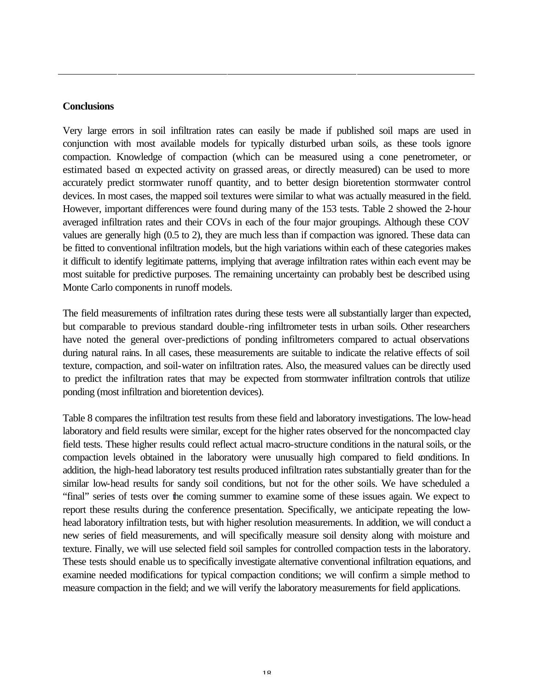#### **Conclusions**

Very large errors in soil infiltration rates can easily be made if published soil maps are used in conjunction with most available models for typically disturbed urban soils, as these tools ignore compaction. Knowledge of compaction (which can be measured using a cone penetrometer, or estimated based on expected activity on grassed areas, or directly measured) can be used to more accurately predict stormwater runoff quantity, and to better design bioretention stormwater control devices. In most cases, the mapped soil textures were similar to what was actually measured in the field. However, important differences were found during many of the 153 tests. Table 2 showed the 2-hour averaged infiltration rates and their COVs in each of the four major groupings. Although these COV values are generally high (0.5 to 2), they are much less than if compaction was ignored. These data can be fitted to conventional infiltration models, but the high variations within each of these categories makes it difficult to identify legitimate patterns, implying that average infiltration rates within each event may be most suitable for predictive purposes. The remaining uncertainty can probably best be described using Monte Carlo components in runoff models.

The field measurements of infiltration rates during these tests were all substantially larger than expected, but comparable to previous standard double-ring infiltrometer tests in urban soils. Other researchers have noted the general over-predictions of ponding infiltrometers compared to actual observations during natural rains. In all cases, these measurements are suitable to indicate the relative effects of soil texture, compaction, and soil-water on infiltration rates. Also, the measured values can be directly used to predict the infiltration rates that may be expected from stormwater infiltration controls that utilize ponding (most infiltration and bioretention devices).

Table 8 compares the infiltration test results from these field and laboratory investigations. The low-head laboratory and field results were similar, except for the higher rates observed for the noncompacted clay field tests. These higher results could reflect actual macro-structure conditions in the natural soils, or the compaction levels obtained in the laboratory were unusually high compared to field conditions. In addition, the high-head laboratory test results produced infiltration rates substantially greater than for the similar low-head results for sandy soil conditions, but not for the other soils. We have scheduled a "final" series of tests over the coming summer to examine some of these issues again. We expect to report these results during the conference presentation. Specifically, we anticipate repeating the lowhead laboratory infiltration tests, but with higher resolution measurements. In addition, we will conduct a new series of field measurements, and will specifically measure soil density along with moisture and texture. Finally, we will use selected field soil samples for controlled compaction tests in the laboratory. These tests should enable us to specifically investigate alternative conventional infiltration equations, and examine needed modifications for typical compaction conditions; we will confirm a simple method to measure compaction in the field; and we will verify the laboratory measurements for field applications.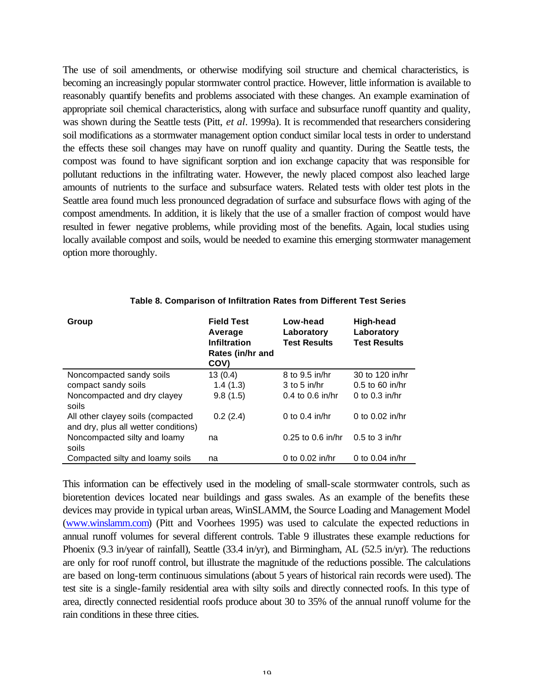The use of soil amendments, or otherwise modifying soil structure and chemical characteristics, is becoming an increasingly popular stormwater control practice. However, little information is available to reasonably quantify benefits and problems associated with these changes. An example examination of appropriate soil chemical characteristics, along with surface and subsurface runoff quantity and quality, was shown during the Seattle tests (Pitt, *et al*. 1999a). It is recommended that researchers considering soil modifications as a stormwater management option conduct similar local tests in order to understand the effects these soil changes may have on runoff quality and quantity. During the Seattle tests, the compost was found to have significant sorption and ion exchange capacity that was responsible for pollutant reductions in the infiltrating water. However, the newly placed compost also leached large amounts of nutrients to the surface and subsurface waters. Related tests with older test plots in the Seattle area found much less pronounced degradation of surface and subsurface flows with aging of the compost amendments. In addition, it is likely that the use of a smaller fraction of compost would have resulted in fewer negative problems, while providing most of the benefits. Again, local studies using locally available compost and soils, would be needed to examine this emerging stormwater management option more thoroughly.

| Group                                                                     | <b>Field Test</b><br>Average<br><b>Infiltration</b><br>Rates (in/hr and<br>COV) | Low-head<br>Laboratory<br><b>Test Results</b> | High-head<br>Laboratory<br><b>Test Results</b> |
|---------------------------------------------------------------------------|---------------------------------------------------------------------------------|-----------------------------------------------|------------------------------------------------|
| Noncompacted sandy soils                                                  | 13(0.4)                                                                         | 8 to 9.5 in/hr                                | 30 to 120 in/hr                                |
| compact sandy soils                                                       | 1.4(1.3)                                                                        | $3$ to 5 in/hr                                | $0.5$ to 60 in/hr                              |
| Noncompacted and dry clayey<br>soils                                      | 9.8(1.5)                                                                        | $0.4$ to $0.6$ in/hr                          | 0 to 0.3 in/hr                                 |
| All other clayey soils (compacted<br>and dry, plus all wetter conditions) | 0.2(2.4)                                                                        | 0 to $0.4$ in/hr                              | 0 to $0.02$ in/hr                              |
| Noncompacted silty and loamy<br>soils                                     | na                                                                              | $0.25$ to $0.6$ in/hr                         | $0.5$ to 3 in/hr                               |
| Compacted silty and loamy soils                                           | na                                                                              | 0 to $0.02$ in/hr                             | 0 to 0.04 in/hr                                |

#### **Table 8. Comparison of Infiltration Rates from Different Test Series**

This information can be effectively used in the modeling of small-scale stormwater controls, such as bioretention devices located near buildings and grass swales. As an example of the benefits these devices may provide in typical urban areas, WinSLAMM, the Source Loading and Management Model (www.winslamm.com) (Pitt and Voorhees 1995) was used to calculate the expected reductions in annual runoff volumes for several different controls. Table 9 illustrates these example reductions for Phoenix (9.3 in/year of rainfall), Seattle (33.4 in/yr), and Birmingham, AL (52.5 in/yr). The reductions are only for roof runoff control, but illustrate the magnitude of the reductions possible. The calculations are based on long-term continuous simulations (about 5 years of historical rain records were used). The test site is a single-family residential area with silty soils and directly connected roofs. In this type of area, directly connected residential roofs produce about 30 to 35% of the annual runoff volume for the rain conditions in these three cities.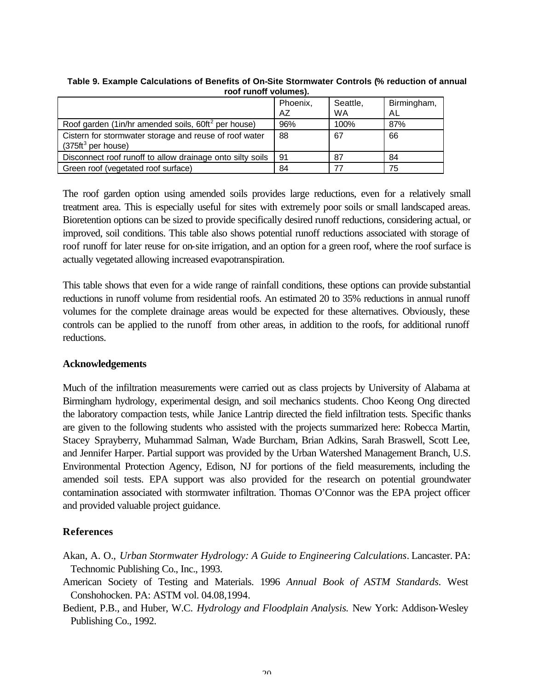| Phoenix, | Seattle,  | Birmingham, |  |  |
|----------|-----------|-------------|--|--|
| AZ       | <b>WA</b> | AL          |  |  |
| 96%      | 100%      | 87%         |  |  |
| 88       | 67        | 66          |  |  |
|          |           |             |  |  |
| 91       | 87        | 84          |  |  |
| 84       | 77        | 75          |  |  |
|          |           |             |  |  |

**Table 9. Example Calculations of Benefits of On-Site Stormwater Controls (% reduction of annual roof runoff volumes).**

The roof garden option using amended soils provides large reductions, even for a relatively small treatment area. This is especially useful for sites with extremely poor soils or small landscaped areas. Bioretention options can be sized to provide specifically desired runoff reductions, considering actual, or improved, soil conditions. This table also shows potential runoff reductions associated with storage of roof runoff for later reuse for on-site irrigation, and an option for a green roof, where the roof surface is actually vegetated allowing increased evapotranspiration.

This table shows that even for a wide range of rainfall conditions, these options can provide substantial reductions in runoff volume from residential roofs. An estimated 20 to 35% reductions in annual runoff volumes for the complete drainage areas would be expected for these alternatives. Obviously, these controls can be applied to the runoff from other areas, in addition to the roofs, for additional runoff reductions.

## **Acknowledgements**

Much of the infiltration measurements were carried out as class projects by University of Alabama at Birmingham hydrology, experimental design, and soil mechanics students. Choo Keong Ong directed the laboratory compaction tests, while Janice Lantrip directed the field infiltration tests. Specific thanks are given to the following students who assisted with the projects summarized here: Robecca Martin, Stacey Sprayberry, Muhammad Salman, Wade Burcham, Brian Adkins, Sarah Braswell, Scott Lee, and Jennifer Harper. Partial support was provided by the Urban Watershed Management Branch, U.S. Environmental Protection Agency, Edison, NJ for portions of the field measurements, including the amended soil tests. EPA support was also provided for the research on potential groundwater contamination associated with stormwater infiltration. Thomas O'Connor was the EPA project officer and provided valuable project guidance.

## **References**

- Akan, A. O., *Urban Stormwater Hydrology: A Guide to Engineering Calculations*. Lancaster. PA: Technomic Publishing Co., Inc., 1993.
- American Society of Testing and Materials. 1996 *Annual Book of ASTM Standards.* West Conshohocken. PA: ASTM vol. 04.08,1994.
- Bedient, P.B., and Huber, W.C. *Hydrology and Floodplain Analysis.* New York: Addison-Wesley Publishing Co., 1992.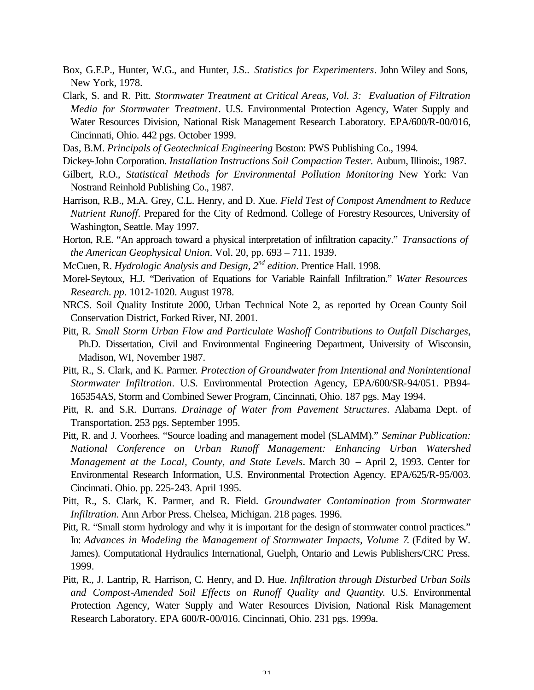- Box, G.E.P., Hunter, W.G., and Hunter, J.S.. *Statistics for Experimenters*. John Wiley and Sons, New York, 1978.
- Clark, S. and R. Pitt. *Stormwater Treatment at Critical Areas, Vol. 3: Evaluation of Filtration Media for Stormwater Treatment*. U.S. Environmental Protection Agency, Water Supply and Water Resources Division, National Risk Management Research Laboratory. EPA/600/R-00/016, Cincinnati, Ohio. 442 pgs. October 1999.
- Das, B.M. *Principals of Geotechnical Engineering* Boston: PWS Publishing Co., 1994.
- Dickey-John Corporation. *Installation Instructions Soil Compaction Tester.* Auburn, Illinois:, 1987.
- Gilbert, R.O., *Statistical Methods for Environmental Pollution Monitoring* New York: Van Nostrand Reinhold Publishing Co., 1987.
- Harrison, R.B., M.A. Grey, C.L. Henry, and D. Xue. *Field Test of Compost Amendment to Reduce Nutrient Runoff*. Prepared for the City of Redmond. College of Forestry Resources, University of Washington, Seattle. May 1997.
- Horton, R.E. "An approach toward a physical interpretation of infiltration capacity." *Transactions of the American Geophysical Union*. Vol. 20, pp. 693 – 711. 1939.
- McCuen, R. *Hydrologic Analysis and Design, 2nd edition*. Prentice Hall. 1998.
- Morel-Seytoux, H.J. "Derivation of Equations for Variable Rainfall Infiltration." *Water Resources Research. pp.* 1012-1020. August 1978.
- NRCS. Soil Quality Institute 2000, Urban Technical Note 2, as reported by Ocean County Soil Conservation District, Forked River, NJ. 2001.
- Pitt, R. *Small Storm Urban Flow and Particulate Washoff Contributions to Outfall Discharges*, Ph.D. Dissertation, Civil and Environmental Engineering Department, University of Wisconsin, Madison, WI, November 1987.
- Pitt, R., S. Clark, and K. Parmer*. Protection of Groundwater from Intentional and Nonintentional Stormwater Infiltration*. U.S. Environmental Protection Agency, EPA/600/SR-94/051. PB94- 165354AS, Storm and Combined Sewer Program, Cincinnati, Ohio. 187 pgs. May 1994.
- Pitt, R. and S.R. Durrans. *Drainage of Water from Pavement Structures*. Alabama Dept. of Transportation. 253 pgs. September 1995.
- Pitt, R. and J. Voorhees. "Source loading and management model (SLAMM)." *Seminar Publication: National Conference on Urban Runoff Management: Enhancing Urban Watershed Management at the Local, County, and State Levels*. March 30 – April 2, 1993. Center for Environmental Research Information, U.S. Environmental Protection Agency. EPA/625/R-95/003. Cincinnati. Ohio. pp. 225-243. April 1995.
- Pitt, R., S. Clark, K. Parmer, and R. Field. *Groundwater Contamination from Stormwater Infiltration*. Ann Arbor Press. Chelsea, Michigan. 218 pages. 1996.
- Pitt, R. "Small storm hydrology and why it is important for the design of stormwater control practices." In: *Advances in Modeling the Management of Stormwater Impacts, Volume 7*. (Edited by W. James). Computational Hydraulics International, Guelph, Ontario and Lewis Publishers/CRC Press. 1999.
- Pitt, R., J. Lantrip, R. Harrison, C. Henry, and D. Hue. *Infiltration through Disturbed Urban Soils and Compost-Amended Soil Effects on Runoff Quality and Quantity*. U.S. Environmental Protection Agency, Water Supply and Water Resources Division, National Risk Management Research Laboratory. EPA 600/R-00/016. Cincinnati, Ohio. 231 pgs. 1999a.